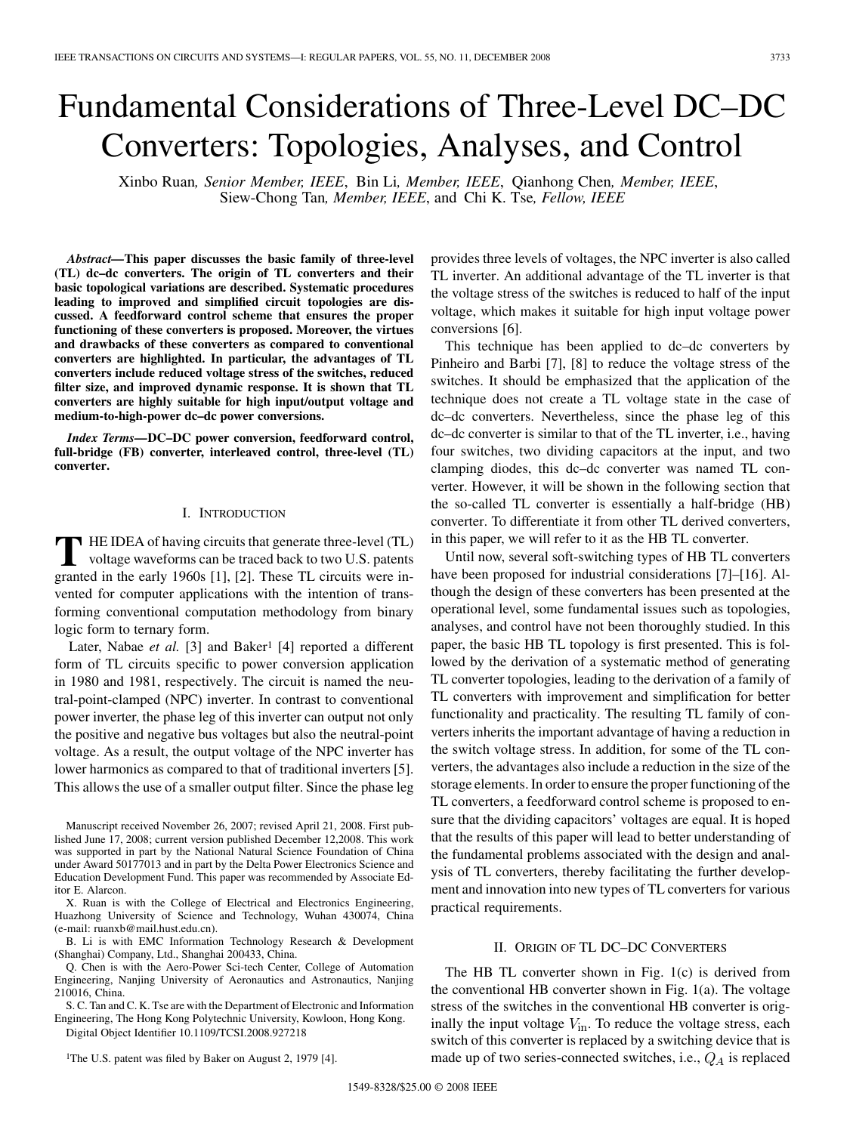# Fundamental Considerations of Three-Level DC–DC Converters: Topologies, Analyses, and Control

Xinbo Ruan*, Senior Member, IEEE*, Bin Li*, Member, IEEE*, Qianhong Chen*, Member, IEEE*, Siew-Chong Tan*, Member, IEEE*, and Chi K. Tse*, Fellow, IEEE*

*Abstract—***This paper discusses the basic family of three-level (TL) dc–dc converters. The origin of TL converters and their basic topological variations are described. Systematic procedures leading to improved and simplified circuit topologies are discussed. A feedforward control scheme that ensures the proper functioning of these converters is proposed. Moreover, the virtues and drawbacks of these converters as compared to conventional converters are highlighted. In particular, the advantages of TL converters include reduced voltage stress of the switches, reduced filter size, and improved dynamic response. It is shown that TL converters are highly suitable for high input/output voltage and medium-to-high-power dc–dc power conversions.**

*Index Terms—***DC–DC power conversion, feedforward control, full-bridge (FB) converter, interleaved control, three-level (TL) converter.**

### I. INTRODUCTION

T**T** HE IDEA of having circuits that generate three-level (TL) voltage waveforms can be traced back to two U.S. patents granted in the early 1960s [1], [2]. These TL circuits were invented for computer applications with the intention of transforming conventional computation methodology from binary logic form to ternary form.

Later, Nabae et al. [3] and Baker<sup>1</sup> [4] reported a different form of TL circuits specific to power conversion application in 1980 and 1981, respectively. The circuit is named the neutral-point-clamped (NPC) inverter. In contrast to conventional power inverter, the phase leg of this inverter can output not only the positive and negative bus voltages but also the neutral-point voltage. As a result, the output voltage of the NPC inverter has lower harmonics as compared to that of traditional inverters [5]. This allows the use of a smaller output filter. Since the phase leg

Manuscript received November 26, 2007; revised April 21, 2008. First published June 17, 2008; current version published December 12,2008. This work was supported in part by the National Natural Science Foundation of China under Award 50177013 and in part by the Delta Power Electronics Science and Education Development Fund. This paper was recommended by Associate Editor E. Alarcon.

X. Ruan is with the College of Electrical and Electronics Engineering, Huazhong University of Science and Technology, Wuhan 430074, China (e-mail: ruanxb@mail.hust.edu.cn).

B. Li is with EMC Information Technology Research & Development (Shanghai) Company, Ltd., Shanghai 200433, China.

Q. Chen is with the Aero-Power Sci-tech Center, College of Automation Engineering, Nanjing University of Aeronautics and Astronautics, Nanjing 210016, China.

S. C. Tan and C. K. Tse are with the Department of Electronic and Information Engineering, The Hong Kong Polytechnic University, Kowloon, Hong Kong. Digital Object Identifier 10.1109/TCSI.2008.927218

<sup>1</sup>The U.S. patent was filed by Baker on August 2, 1979 [4].

provides three levels of voltages, the NPC inverter is also called TL inverter. An additional advantage of the TL inverter is that the voltage stress of the switches is reduced to half of the input voltage, which makes it suitable for high input voltage power conversions [6].

This technique has been applied to dc–dc converters by Pinheiro and Barbi [7], [8] to reduce the voltage stress of the switches. It should be emphasized that the application of the technique does not create a TL voltage state in the case of dc–dc converters. Nevertheless, since the phase leg of this dc–dc converter is similar to that of the TL inverter, i.e., having four switches, two dividing capacitors at the input, and two clamping diodes, this dc–dc converter was named TL converter. However, it will be shown in the following section that the so-called TL converter is essentially a half-bridge (HB) converter. To differentiate it from other TL derived converters, in this paper, we will refer to it as the HB TL converter.

Until now, several soft-switching types of HB TL converters have been proposed for industrial considerations [7]–[16]. Although the design of these converters has been presented at the operational level, some fundamental issues such as topologies, analyses, and control have not been thoroughly studied. In this paper, the basic HB TL topology is first presented. This is followed by the derivation of a systematic method of generating TL converter topologies, leading to the derivation of a family of TL converters with improvement and simplification for better functionality and practicality. The resulting TL family of converters inherits the important advantage of having a reduction in the switch voltage stress. In addition, for some of the TL converters, the advantages also include a reduction in the size of the storage elements. In order to ensure the proper functioning of the TL converters, a feedforward control scheme is proposed to ensure that the dividing capacitors' voltages are equal. It is hoped that the results of this paper will lead to better understanding of the fundamental problems associated with the design and analysis of TL converters, thereby facilitating the further development and innovation into new types of TL converters for various practical requirements.

## II. ORIGIN OF TL DC–DC CONVERTERS

The HB TL converter shown in Fig. 1(c) is derived from the conventional HB converter shown in Fig. 1(a). The voltage stress of the switches in the conventional HB converter is originally the input voltage  $V_{\text{in}}$ . To reduce the voltage stress, each switch of this converter is replaced by a switching device that is made up of two series-connected switches, i.e.,  $Q_A$  is replaced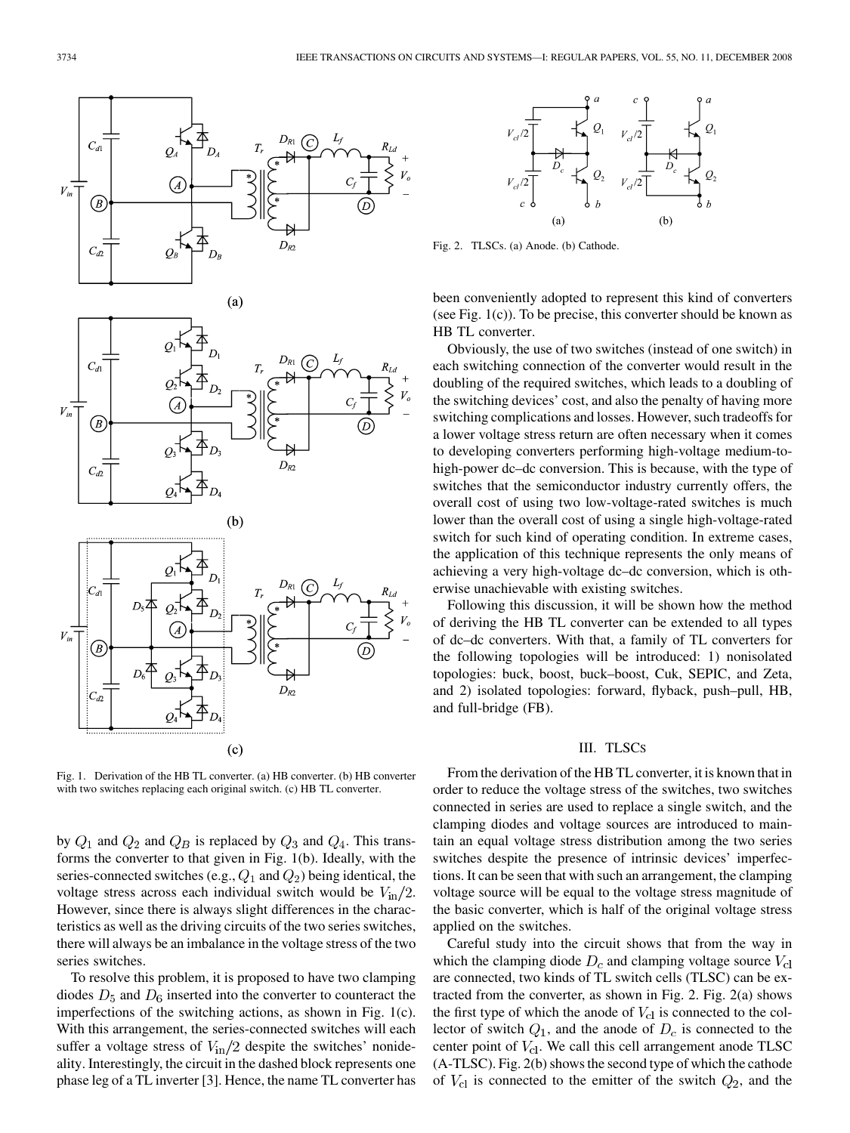





Fig. 1. Derivation of the HB TL converter. (a) HB converter. (b) HB converter with two switches replacing each original switch. (c) HB TL converter.

by  $Q_1$  and  $Q_2$  and  $Q_B$  is replaced by  $Q_3$  and  $Q_4$ . This transforms the converter to that given in Fig. 1(b). Ideally, with the series-connected switches (e.g.,  $Q_1$  and  $Q_2$ ) being identical, the voltage stress across each individual switch would be  $V_{\text{in}}/2$ . However, since there is always slight differences in the characteristics as well as the driving circuits of the two series switches, there will always be an imbalance in the voltage stress of the two series switches.

To resolve this problem, it is proposed to have two clamping diodes  $D_5$  and  $D_6$  inserted into the converter to counteract the imperfections of the switching actions, as shown in Fig. 1(c). With this arrangement, the series-connected switches will each suffer a voltage stress of  $V_{\text{in}}/2$  despite the switches' nonideality. Interestingly, the circuit in the dashed block represents one phase leg of a TL inverter [3]. Hence, the name TL converter has



Fig. 2. TLSCs. (a) Anode. (b) Cathode.

been conveniently adopted to represent this kind of converters (see Fig. 1(c)). To be precise, this converter should be known as HB TL converter.

Obviously, the use of two switches (instead of one switch) in each switching connection of the converter would result in the doubling of the required switches, which leads to a doubling of the switching devices' cost, and also the penalty of having more switching complications and losses. However, such tradeoffs for a lower voltage stress return are often necessary when it comes to developing converters performing high-voltage medium-tohigh-power dc–dc conversion. This is because, with the type of switches that the semiconductor industry currently offers, the overall cost of using two low-voltage-rated switches is much lower than the overall cost of using a single high-voltage-rated switch for such kind of operating condition. In extreme cases, the application of this technique represents the only means of achieving a very high-voltage dc–dc conversion, which is otherwise unachievable with existing switches.

Following this discussion, it will be shown how the method of deriving the HB TL converter can be extended to all types of dc–dc converters. With that, a family of TL converters for the following topologies will be introduced: 1) nonisolated topologies: buck, boost, buck–boost, Cuk, SEPIC, and Zeta, and 2) isolated topologies: forward, flyback, push–pull, HB, and full-bridge (FB).

# III. TLSCS

From the derivation of the HB TL converter, it is known that in order to reduce the voltage stress of the switches, two switches connected in series are used to replace a single switch, and the clamping diodes and voltage sources are introduced to maintain an equal voltage stress distribution among the two series switches despite the presence of intrinsic devices' imperfections. It can be seen that with such an arrangement, the clamping voltage source will be equal to the voltage stress magnitude of the basic converter, which is half of the original voltage stress applied on the switches.

Careful study into the circuit shows that from the way in which the clamping diode  $D_c$  and clamping voltage source  $V_{\text{cl}}$ are connected, two kinds of TL switch cells (TLSC) can be extracted from the converter, as shown in Fig. 2. Fig. 2(a) shows the first type of which the anode of  $V_{\text{cl}}$  is connected to the collector of switch  $Q_1$ , and the anode of  $D_c$  is connected to the center point of  $V_{\text{cl}}$ . We call this cell arrangement anode TLSC (A-TLSC). Fig. 2(b) shows the second type of which the cathode of  $V_{\text{cl}}$  is connected to the emitter of the switch  $Q_2$ , and the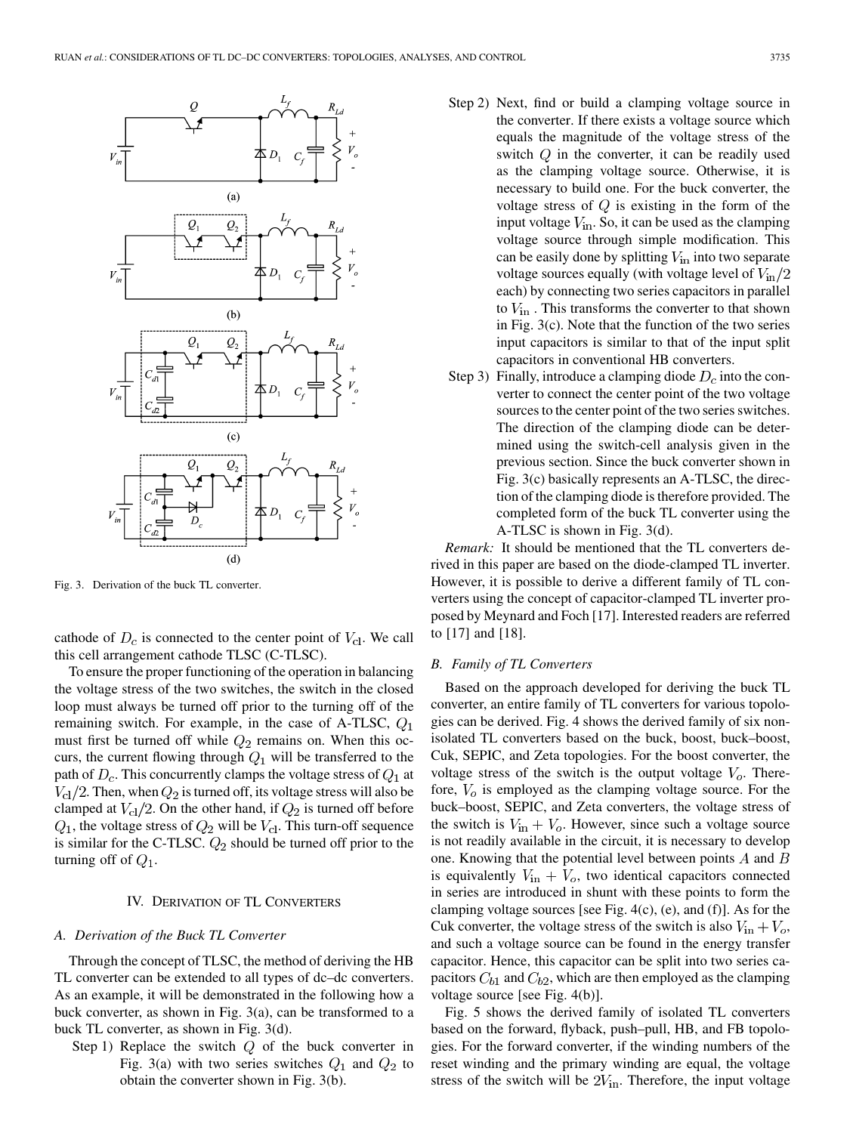

Fig. 3. Derivation of the buck TL converter.

cathode of  $D_c$  is connected to the center point of  $V_{\text{cl}}$ . We call this cell arrangement cathode TLSC (C-TLSC).

To ensure the proper functioning of the operation in balancing the voltage stress of the two switches, the switch in the closed loop must always be turned off prior to the turning off of the remaining switch. For example, in the case of A-TLSC,  $Q_1$ must first be turned off while  $Q_2$  remains on. When this occurs, the current flowing through  $Q_1$  will be transferred to the path of  $D_c$ . This concurrently clamps the voltage stress of  $Q_1$  at  $V_{\rm cl}/2$ . Then, when  $Q_2$  is turned off, its voltage stress will also be clamped at  $V_{\text{cl}}/2$ . On the other hand, if  $Q_2$  is turned off before  $Q_1$ , the voltage stress of  $Q_2$  will be  $V_{\text{cl}}$ . This turn-off sequence is similar for the C-TLSC.  $Q_2$  should be turned off prior to the turning off of  $Q_1$ .

#### IV. DERIVATION OF TL CONVERTERS

#### *A. Derivation of the Buck TL Converter*

Through the concept of TLSC, the method of deriving the HB TL converter can be extended to all types of dc–dc converters. As an example, it will be demonstrated in the following how a buck converter, as shown in Fig. 3(a), can be transformed to a buck TL converter, as shown in Fig. 3(d).

Step 1) Replace the switch  $Q$  of the buck converter in Fig. 3(a) with two series switches  $Q_1$  and  $Q_2$  to obtain the converter shown in Fig. 3(b).

- Step 2) Next, find or build a clamping voltage source in the converter. If there exists a voltage source which equals the magnitude of the voltage stress of the switch  $Q$  in the converter, it can be readily used as the clamping voltage source. Otherwise, it is necessary to build one. For the buck converter, the voltage stress of  $Q$  is existing in the form of the input voltage  $V_{\text{in}}$ . So, it can be used as the clamping voltage source through simple modification. This can be easily done by splitting  $V_{\text{in}}$  into two separate voltage sources equally (with voltage level of  $V_{\text{in}}/2$ each) by connecting two series capacitors in parallel to  $V_{\text{in}}$ . This transforms the converter to that shown in Fig. 3(c). Note that the function of the two series input capacitors is similar to that of the input split capacitors in conventional HB converters.
- Step 3) Finally, introduce a clamping diode  $D_c$  into the converter to connect the center point of the two voltage sources to the center point of the two series switches. The direction of the clamping diode can be determined using the switch-cell analysis given in the previous section. Since the buck converter shown in Fig. 3(c) basically represents an A-TLSC, the direction of the clamping diode is therefore provided. The completed form of the buck TL converter using the A-TLSC is shown in Fig. 3(d).

*Remark:* It should be mentioned that the TL converters derived in this paper are based on the diode-clamped TL inverter. However, it is possible to derive a different family of TL converters using the concept of capacitor-clamped TL inverter proposed by Meynard and Foch [17]. Interested readers are referred to [17] and [18].

#### *B. Family of TL Converters*

Based on the approach developed for deriving the buck TL converter, an entire family of TL converters for various topologies can be derived. Fig. 4 shows the derived family of six nonisolated TL converters based on the buck, boost, buck–boost, Cuk, SEPIC, and Zeta topologies. For the boost converter, the voltage stress of the switch is the output voltage  $V<sub>o</sub>$ . Therefore,  $V<sub>o</sub>$  is employed as the clamping voltage source. For the buck–boost, SEPIC, and Zeta converters, the voltage stress of the switch is  $V_{\text{in}} + V_o$ . However, since such a voltage source is not readily available in the circuit, it is necessary to develop one. Knowing that the potential level between points  $A$  and  $B$ is equivalently  $V_{\text{in}} + V_o$ , two identical capacitors connected in series are introduced in shunt with these points to form the clamping voltage sources [see Fig. 4(c), (e), and (f)]. As for the Cuk converter, the voltage stress of the switch is also  $V_{\text{in}} + V_o$ , and such a voltage source can be found in the energy transfer capacitor. Hence, this capacitor can be split into two series capacitors  $C_{b1}$  and  $C_{b2}$ , which are then employed as the clamping voltage source [see Fig. 4(b)].

Fig. 5 shows the derived family of isolated TL converters based on the forward, flyback, push–pull, HB, and FB topologies. For the forward converter, if the winding numbers of the reset winding and the primary winding are equal, the voltage stress of the switch will be  $2V_{\text{in}}$ . Therefore, the input voltage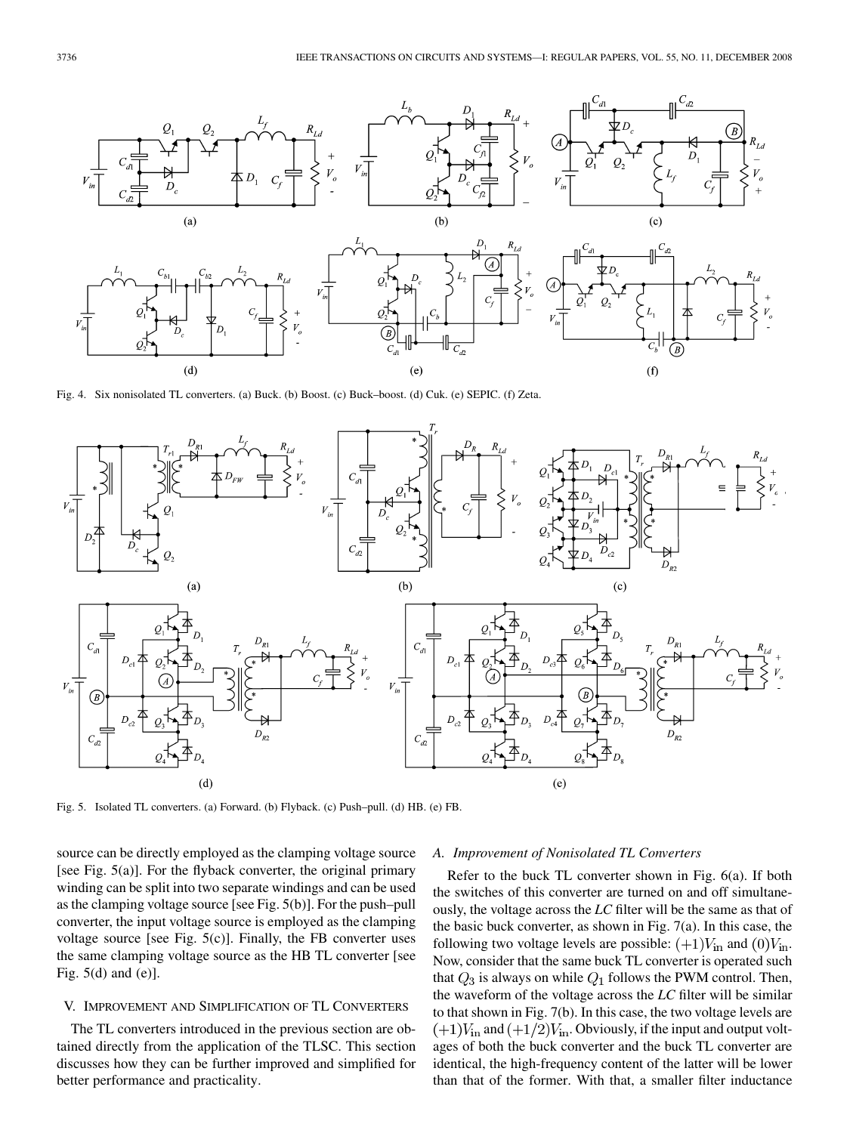

Fig. 4. Six nonisolated TL converters. (a) Buck. (b) Boost. (c) Buck–boost. (d) Cuk. (e) SEPIC. (f) Zeta.



Fig. 5. Isolated TL converters. (a) Forward. (b) Flyback. (c) Push–pull. (d) HB. (e) FB.

source can be directly employed as the clamping voltage source [see Fig. 5(a)]. For the flyback converter, the original primary winding can be split into two separate windings and can be used as the clamping voltage source [see Fig. 5(b)]. For the push–pull converter, the input voltage source is employed as the clamping voltage source [see Fig.  $5(c)$ ]. Finally, the FB converter uses the same clamping voltage source as the HB TL converter [see Fig.  $5(d)$  and  $(e)$ ].

# V. IMPROVEMENT AND SIMPLIFICATION OF TL CONVERTERS

The TL converters introduced in the previous section are obtained directly from the application of the TLSC. This section discusses how they can be further improved and simplified for better performance and practicality.

# *A. Improvement of Nonisolated TL Converters*

Refer to the buck TL converter shown in Fig. 6(a). If both the switches of this converter are turned on and off simultaneously, the voltage across the *LC* filter will be the same as that of the basic buck converter, as shown in Fig. 7(a). In this case, the following two voltage levels are possible:  $(+1)V_{\text{in}}$  and  $(0)V_{\text{in}}$ . Now, consider that the same buck TL converter is operated such that  $Q_3$  is always on while  $Q_1$  follows the PWM control. Then, the waveform of the voltage across the *LC* filter will be similar to that shown in Fig. 7(b). In this case, the two voltage levels are  $(+1)V_{\text{in}}$  and  $(+1/2)V_{\text{in}}$ . Obviously, if the input and output voltages of both the buck converter and the buck TL converter are identical, the high-frequency content of the latter will be lower than that of the former. With that, a smaller filter inductance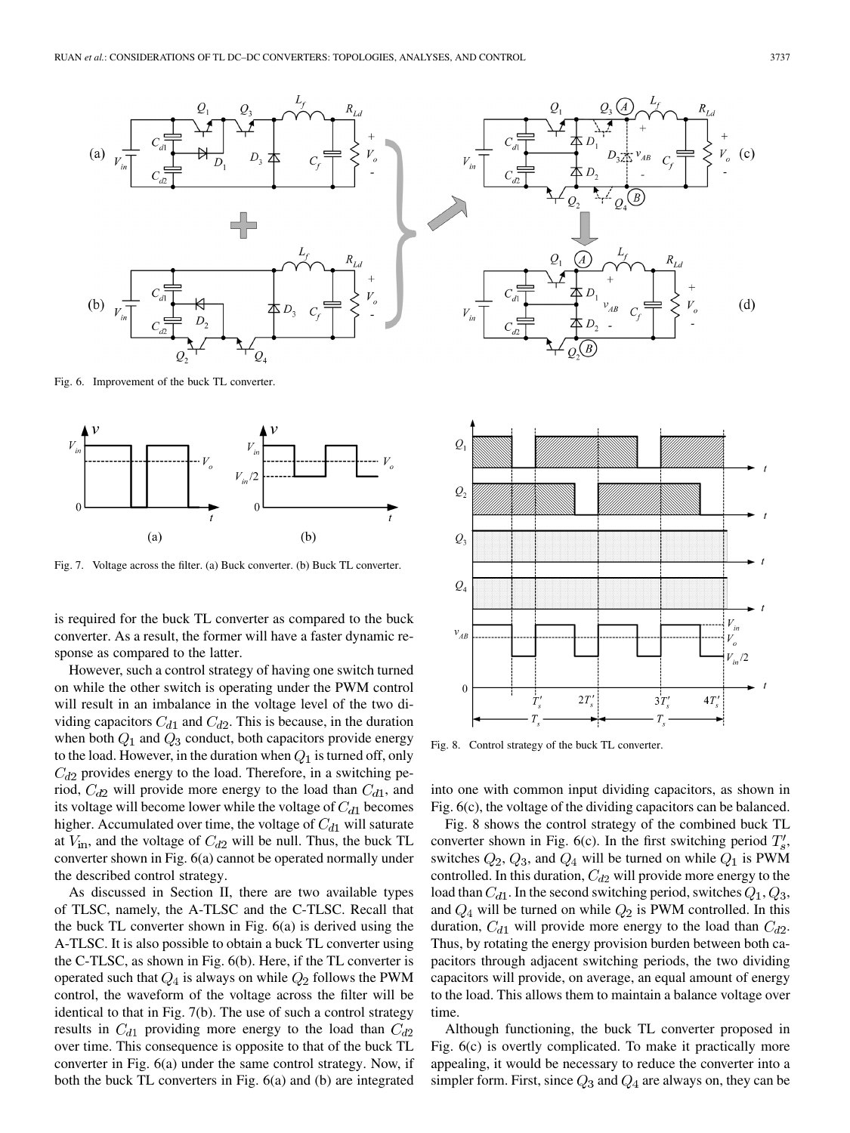

Fig. 6. Improvement of the buck TL converter.



Fig. 7. Voltage across the filter. (a) Buck converter. (b) Buck TL converter.

is required for the buck TL converter as compared to the buck converter. As a result, the former will have a faster dynamic response as compared to the latter.

However, such a control strategy of having one switch turned on while the other switch is operating under the PWM control will result in an imbalance in the voltage level of the two dividing capacitors  $C_{d1}$  and  $C_{d2}$ . This is because, in the duration when both  $Q_1$  and  $Q_3$  conduct, both capacitors provide energy to the load. However, in the duration when  $Q_1$  is turned off, only  $C_{d2}$  provides energy to the load. Therefore, in a switching period,  $C_{d2}$  will provide more energy to the load than  $C_{d1}$ , and its voltage will become lower while the voltage of  $C_{d1}$  becomes higher. Accumulated over time, the voltage of  $C_{d1}$  will saturate at  $V_{\text{in}}$ , and the voltage of  $C_{d2}$  will be null. Thus, the buck TL converter shown in Fig. 6(a) cannot be operated normally under the described control strategy.

As discussed in Section II, there are two available types of TLSC, namely, the A-TLSC and the C-TLSC. Recall that the buck TL converter shown in Fig. 6(a) is derived using the A-TLSC. It is also possible to obtain a buck TL converter using the C-TLSC, as shown in Fig. 6(b). Here, if the TL converter is operated such that  $Q_4$  is always on while  $Q_2$  follows the PWM control, the waveform of the voltage across the filter will be identical to that in Fig. 7(b). The use of such a control strategy results in  $C_{d1}$  providing more energy to the load than  $C_{d2}$ over time. This consequence is opposite to that of the buck TL converter in Fig. 6(a) under the same control strategy. Now, if both the buck TL converters in Fig. 6(a) and (b) are integrated





Fig. 8. Control strategy of the buck TL converter.

into one with common input dividing capacitors, as shown in Fig. 6(c), the voltage of the dividing capacitors can be balanced.

Fig. 8 shows the control strategy of the combined buck TL converter shown in Fig. 6(c). In the first switching period  $T_s'$ , switches  $Q_2$ ,  $Q_3$ , and  $Q_4$  will be turned on while  $Q_1$  is PWM controlled. In this duration,  $C_{d2}$  will provide more energy to the load than  $C_{d1}$ . In the second switching period, switches  $Q_1, Q_3$ , and  $Q_4$  will be turned on while  $Q_2$  is PWM controlled. In this duration,  $C_{d1}$  will provide more energy to the load than  $C_{d2}$ . Thus, by rotating the energy provision burden between both capacitors through adjacent switching periods, the two dividing capacitors will provide, on average, an equal amount of energy to the load. This allows them to maintain a balance voltage over time.

Although functioning, the buck TL converter proposed in Fig. 6(c) is overtly complicated. To make it practically more appealing, it would be necessary to reduce the converter into a simpler form. First, since  $Q_3$  and  $Q_4$  are always on, they can be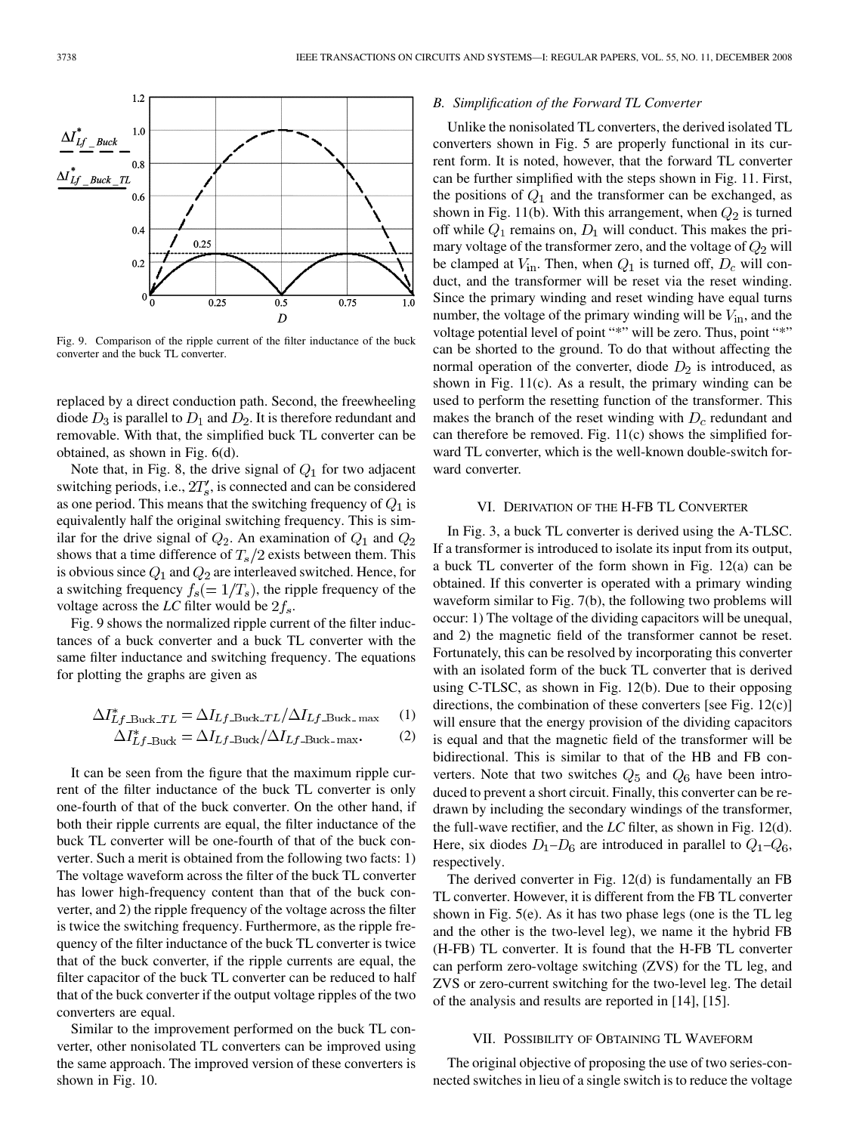

Fig. 9. Comparison of the ripple current of the filter inductance of the buck converter and the buck TL converter.

replaced by a direct conduction path. Second, the freewheeling diode  $D_3$  is parallel to  $D_1$  and  $D_2$ . It is therefore redundant and removable. With that, the simplified buck TL converter can be obtained, as shown in Fig. 6(d).

Note that, in Fig. 8, the drive signal of  $Q_1$  for two adjacent switching periods, i.e.,  $2T_s'$ , is connected and can be considered as one period. This means that the switching frequency of  $Q_1$  is equivalently half the original switching frequency. This is similar for the drive signal of  $Q_2$ . An examination of  $Q_1$  and  $Q_2$ shows that a time difference of  $T_s/2$  exists between them. This is obvious since  $Q_1$  and  $Q_2$  are interleaved switched. Hence, for a switching frequency  $f_s (= 1/T_s)$ , the ripple frequency of the voltage across the *LC* filter would be  $2f_s$ .

Fig. 9 shows the normalized ripple current of the filter inductances of a buck converter and a buck TL converter with the same filter inductance and switching frequency. The equations for plotting the graphs are given as

$$
\Delta I_{Lf\text{-Buck-TL}}^* = \Delta I_{Lf\text{-Buck-TL}} / \Delta I_{Lf\text{-Buck\_max}} \quad (1)
$$

$$
\Delta I_{Lf\text{-Buck}}^* = \Delta I_{Lf\text{-Buck}} / \Delta I_{Lf\text{-Buck\_max}}.\tag{2}
$$

It can be seen from the figure that the maximum ripple current of the filter inductance of the buck TL converter is only one-fourth of that of the buck converter. On the other hand, if both their ripple currents are equal, the filter inductance of the buck TL converter will be one-fourth of that of the buck converter. Such a merit is obtained from the following two facts: 1) The voltage waveform across the filter of the buck TL converter has lower high-frequency content than that of the buck converter, and 2) the ripple frequency of the voltage across the filter is twice the switching frequency. Furthermore, as the ripple frequency of the filter inductance of the buck TL converter is twice that of the buck converter, if the ripple currents are equal, the filter capacitor of the buck TL converter can be reduced to half that of the buck converter if the output voltage ripples of the two converters are equal.

Similar to the improvement performed on the buck TL converter, other nonisolated TL converters can be improved using the same approach. The improved version of these converters is shown in Fig. 10.

# *B. Simplification of the Forward TL Converter*

Unlike the nonisolated TL converters, the derived isolated TL converters shown in Fig. 5 are properly functional in its current form. It is noted, however, that the forward TL converter can be further simplified with the steps shown in Fig. 11. First, the positions of  $Q_1$  and the transformer can be exchanged, as shown in Fig. 11(b). With this arrangement, when  $Q_2$  is turned off while  $Q_1$  remains on,  $D_1$  will conduct. This makes the primary voltage of the transformer zero, and the voltage of  $Q_2$  will be clamped at  $V_{\text{in}}$ . Then, when  $Q_1$  is turned off,  $D_c$  will conduct, and the transformer will be reset via the reset winding. Since the primary winding and reset winding have equal turns number, the voltage of the primary winding will be  $V_{\text{in}}$ , and the voltage potential level of point "\*" will be zero. Thus, point "\*" can be shorted to the ground. To do that without affecting the normal operation of the converter, diode  $D_2$  is introduced, as shown in Fig. 11(c). As a result, the primary winding can be used to perform the resetting function of the transformer. This makes the branch of the reset winding with  $D_c$  redundant and can therefore be removed. Fig. 11(c) shows the simplified forward TL converter, which is the well-known double-switch forward converter.

# VI. DERIVATION OF THE H-FB TL CONVERTER

In Fig. 3, a buck TL converter is derived using the A-TLSC. If a transformer is introduced to isolate its input from its output, a buck TL converter of the form shown in Fig. 12(a) can be obtained. If this converter is operated with a primary winding waveform similar to Fig. 7(b), the following two problems will occur: 1) The voltage of the dividing capacitors will be unequal, and 2) the magnetic field of the transformer cannot be reset. Fortunately, this can be resolved by incorporating this converter with an isolated form of the buck TL converter that is derived using C-TLSC, as shown in Fig. 12(b). Due to their opposing directions, the combination of these converters [see Fig. 12(c)] will ensure that the energy provision of the dividing capacitors is equal and that the magnetic field of the transformer will be bidirectional. This is similar to that of the HB and FB converters. Note that two switches  $Q_5$  and  $Q_6$  have been introduced to prevent a short circuit. Finally, this converter can be redrawn by including the secondary windings of the transformer, the full-wave rectifier, and the *LC* filter, as shown in Fig. 12(d). Here, six diodes  $D_1 - D_6$  are introduced in parallel to  $Q_1 - Q_6$ , respectively.

The derived converter in Fig. 12(d) is fundamentally an FB TL converter. However, it is different from the FB TL converter shown in Fig. 5(e). As it has two phase legs (one is the TL leg and the other is the two-level leg), we name it the hybrid FB (H-FB) TL converter. It is found that the H-FB TL converter can perform zero-voltage switching (ZVS) for the TL leg, and ZVS or zero-current switching for the two-level leg. The detail of the analysis and results are reported in [14], [15].

# VII. POSSIBILITY OF OBTAINING TL WAVEFORM

The original objective of proposing the use of two series-connected switches in lieu of a single switch is to reduce the voltage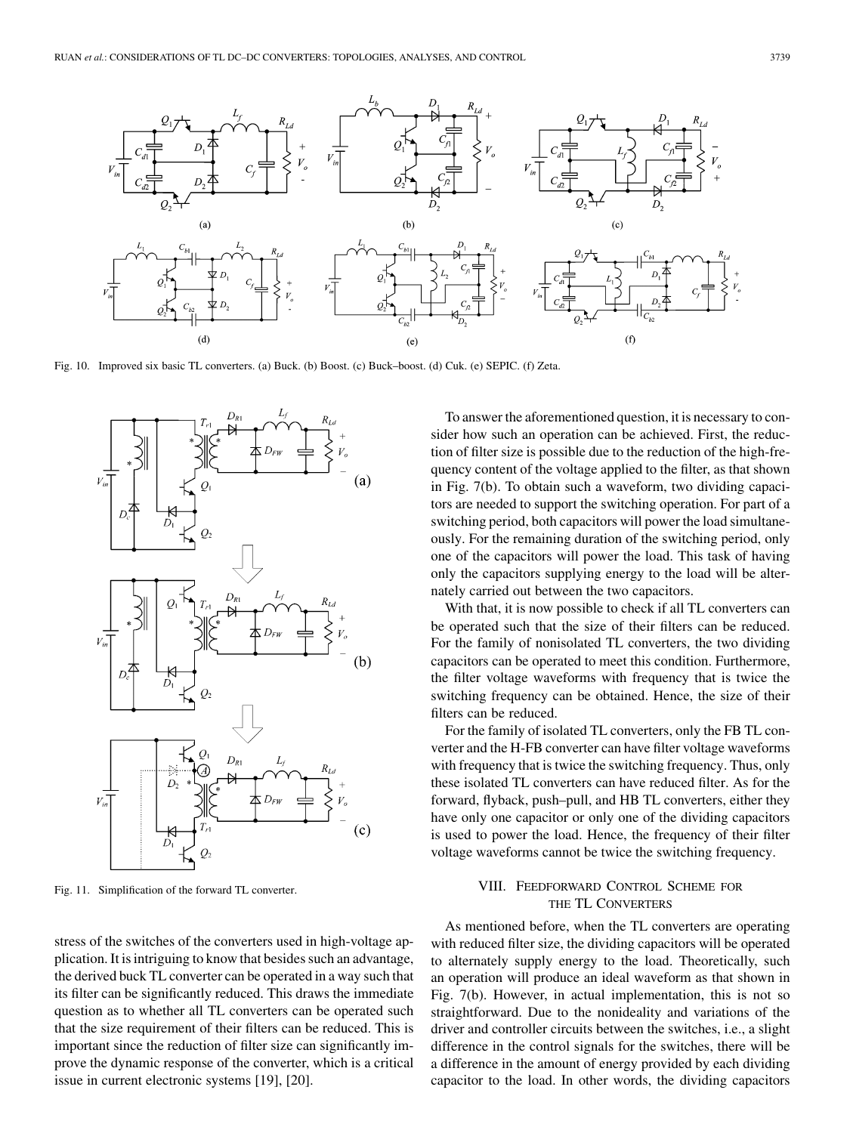

Fig. 10. Improved six basic TL converters. (a) Buck. (b) Boost. (c) Buck–boost. (d) Cuk. (e) SEPIC. (f) Zeta.



Fig. 11. Simplification of the forward TL converter.

stress of the switches of the converters used in high-voltage application. It is intriguing to know that besides such an advantage, the derived buck TL converter can be operated in a way such that its filter can be significantly reduced. This draws the immediate question as to whether all TL converters can be operated such that the size requirement of their filters can be reduced. This is important since the reduction of filter size can significantly improve the dynamic response of the converter, which is a critical issue in current electronic systems [19], [20].

To answer the aforementioned question, it is necessary to consider how such an operation can be achieved. First, the reduction of filter size is possible due to the reduction of the high-frequency content of the voltage applied to the filter, as that shown in Fig. 7(b). To obtain such a waveform, two dividing capacitors are needed to support the switching operation. For part of a switching period, both capacitors will power the load simultaneously. For the remaining duration of the switching period, only one of the capacitors will power the load. This task of having only the capacitors supplying energy to the load will be alternately carried out between the two capacitors.

With that, it is now possible to check if all TL converters can be operated such that the size of their filters can be reduced. For the family of nonisolated TL converters, the two dividing capacitors can be operated to meet this condition. Furthermore, the filter voltage waveforms with frequency that is twice the switching frequency can be obtained. Hence, the size of their filters can be reduced.

For the family of isolated TL converters, only the FB TL converter and the H-FB converter can have filter voltage waveforms with frequency that is twice the switching frequency. Thus, only these isolated TL converters can have reduced filter. As for the forward, flyback, push–pull, and HB TL converters, either they have only one capacitor or only one of the dividing capacitors is used to power the load. Hence, the frequency of their filter voltage waveforms cannot be twice the switching frequency.

# VIII. FEEDFORWARD CONTROL SCHEME FOR THE TL CONVERTERS

As mentioned before, when the TL converters are operating with reduced filter size, the dividing capacitors will be operated to alternately supply energy to the load. Theoretically, such an operation will produce an ideal waveform as that shown in Fig. 7(b). However, in actual implementation, this is not so straightforward. Due to the nonideality and variations of the driver and controller circuits between the switches, i.e., a slight difference in the control signals for the switches, there will be a difference in the amount of energy provided by each dividing capacitor to the load. In other words, the dividing capacitors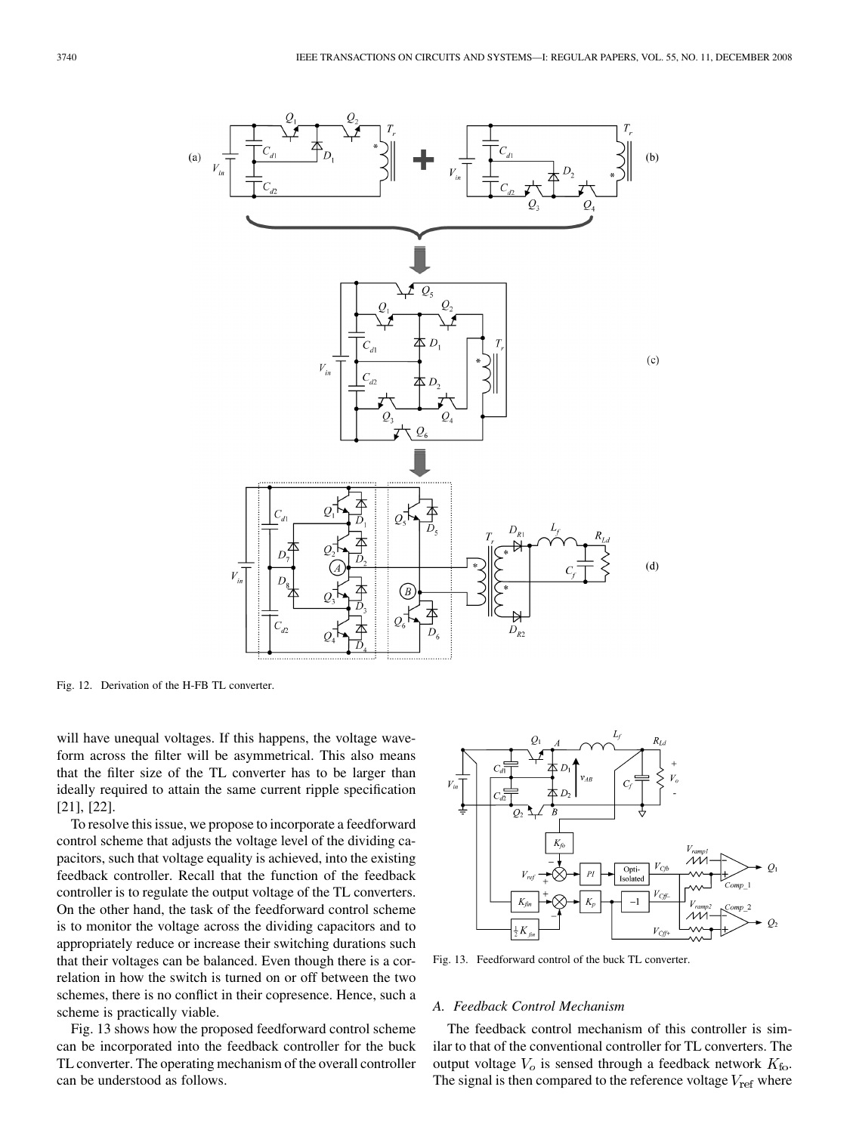

Fig. 12. Derivation of the H-FB TL converter.

will have unequal voltages. If this happens, the voltage waveform across the filter will be asymmetrical. This also means that the filter size of the TL converter has to be larger than ideally required to attain the same current ripple specification [21], [22].

To resolve this issue, we propose to incorporate a feedforward control scheme that adjusts the voltage level of the dividing capacitors, such that voltage equality is achieved, into the existing feedback controller. Recall that the function of the feedback controller is to regulate the output voltage of the TL converters. On the other hand, the task of the feedforward control scheme is to monitor the voltage across the dividing capacitors and to appropriately reduce or increase their switching durations such that their voltages can be balanced. Even though there is a correlation in how the switch is turned on or off between the two schemes, there is no conflict in their copresence. Hence, such a scheme is practically viable.

Fig. 13 shows how the proposed feedforward control scheme can be incorporated into the feedback controller for the buck TL converter. The operating mechanism of the overall controller can be understood as follows.



Fig. 13. Feedforward control of the buck TL converter.

## *A. Feedback Control Mechanism*

The feedback control mechanism of this controller is similar to that of the conventional controller for TL converters. The output voltage  $V_o$  is sensed through a feedback network  $K_{\text{fo}}$ . The signal is then compared to the reference voltage  $V_{\text{ref}}$  where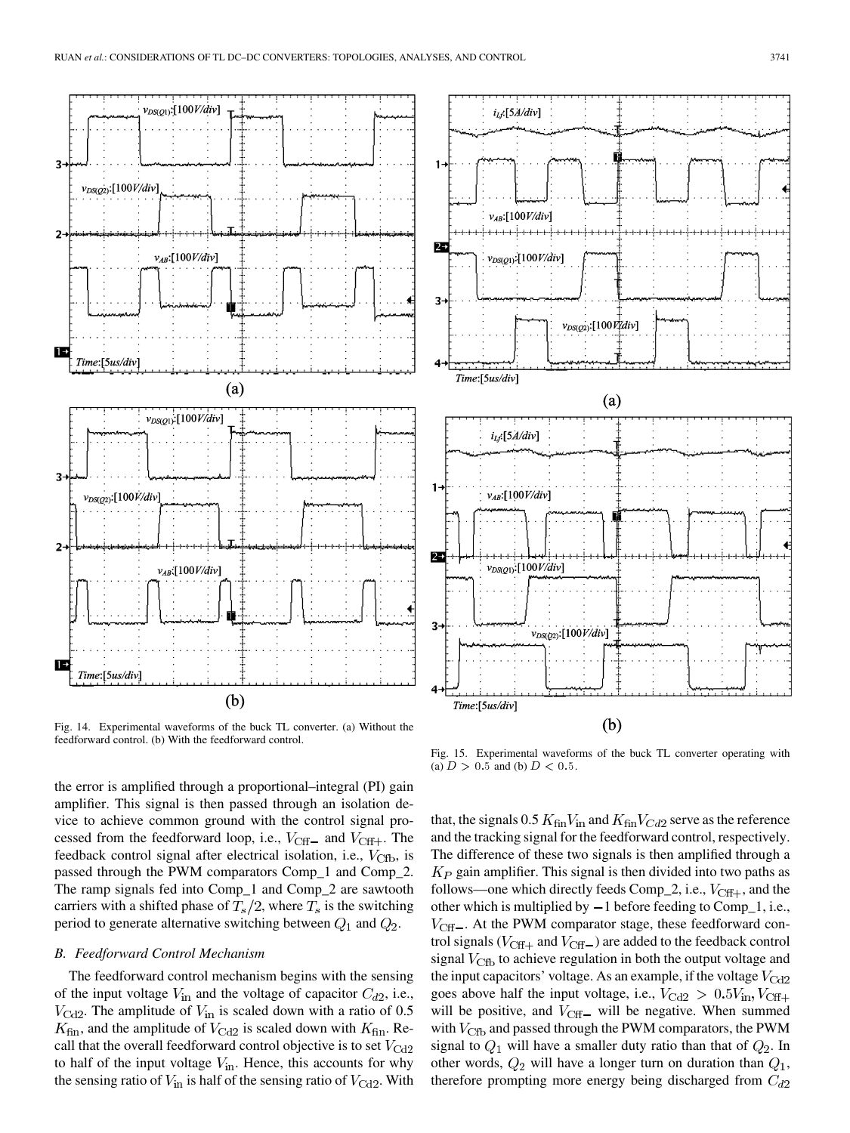

Fig. 14. Experimental waveforms of the buck TL converter. (a) Without the feedforward control. (b) With the feedforward control.

the error is amplified through a proportional–integral (PI) gain amplifier. This signal is then passed through an isolation device to achieve common ground with the control signal processed from the feedforward loop, i.e.,  $V_{\text{Cff}-}$  and  $V_{\text{Cff}+}$ . The feedback control signal after electrical isolation, i.e.,  $V_{\text{Cfb}}$ , is passed through the PWM comparators Comp\_1 and Comp\_2. The ramp signals fed into Comp\_1 and Comp\_2 are sawtooth carriers with a shifted phase of  $T_s/2$ , where  $T_s$  is the switching period to generate alternative switching between  $Q_1$  and  $Q_2$ .

### *B. Feedforward Control Mechanism*

The feedforward control mechanism begins with the sensing of the input voltage  $V_{\text{in}}$  and the voltage of capacitor  $C_{d2}$ , i.e.,  $V_{\text{Cd2}}$ . The amplitude of  $V_{\text{in}}$  is scaled down with a ratio of 0.5  $K_{fin}$ , and the amplitude of  $V_{\text{Cd2}}$  is scaled down with  $K_{fin}$ . Recall that the overall feedforward control objective is to set  $V_{\text{Cd2}}$ to half of the input voltage  $V_{\text{in}}$ . Hence, this accounts for why the sensing ratio of  $V_{\text{in}}$  is half of the sensing ratio of  $V_{\text{Cd2}}$ . With

Fig. 15. Experimental waveforms of the buck TL converter operating with (a)  $D > 0.5$  and (b)  $D < 0.5$ .

that, the signals 0.5  $K_{fin}V_{in}$  and  $K_{fin}V_{Cd2}$  serve as the reference and the tracking signal for the feedforward control, respectively. The difference of these two signals is then amplified through a  $K_P$  gain amplifier. This signal is then divided into two paths as follows—one which directly feeds Comp\_2, i.e.,  $V_{\text{CH}+}$ , and the other which is multiplied by  $-1$  before feeding to Comp $_1$ , i.e.,  $V_{\text{Cff}}$ . At the PWM comparator stage, these feedforward control signals ( $V_{\text{Cff+}}$  and  $V_{\text{Cff-}}$ ) are added to the feedback control signal  $V_{\text{Cfb}}$  to achieve regulation in both the output voltage and the input capacitors' voltage. As an example, if the voltage  $V_{\text{Cd2}}$ goes above half the input voltage, i.e.,  $V_{\text{Cd2}} > 0.5V_{\text{in}}$ ,  $V_{\text{CH+}}$ will be positive, and  $V_{\text{CH}}$  will be negative. When summed with  $V_{\text{Cfb}}$  and passed through the PWM comparators, the PWM signal to  $Q_1$  will have a smaller duty ratio than that of  $Q_2$ . In other words,  $Q_2$  will have a longer turn on duration than  $Q_1$ , therefore prompting more energy being discharged from  $C_{d2}$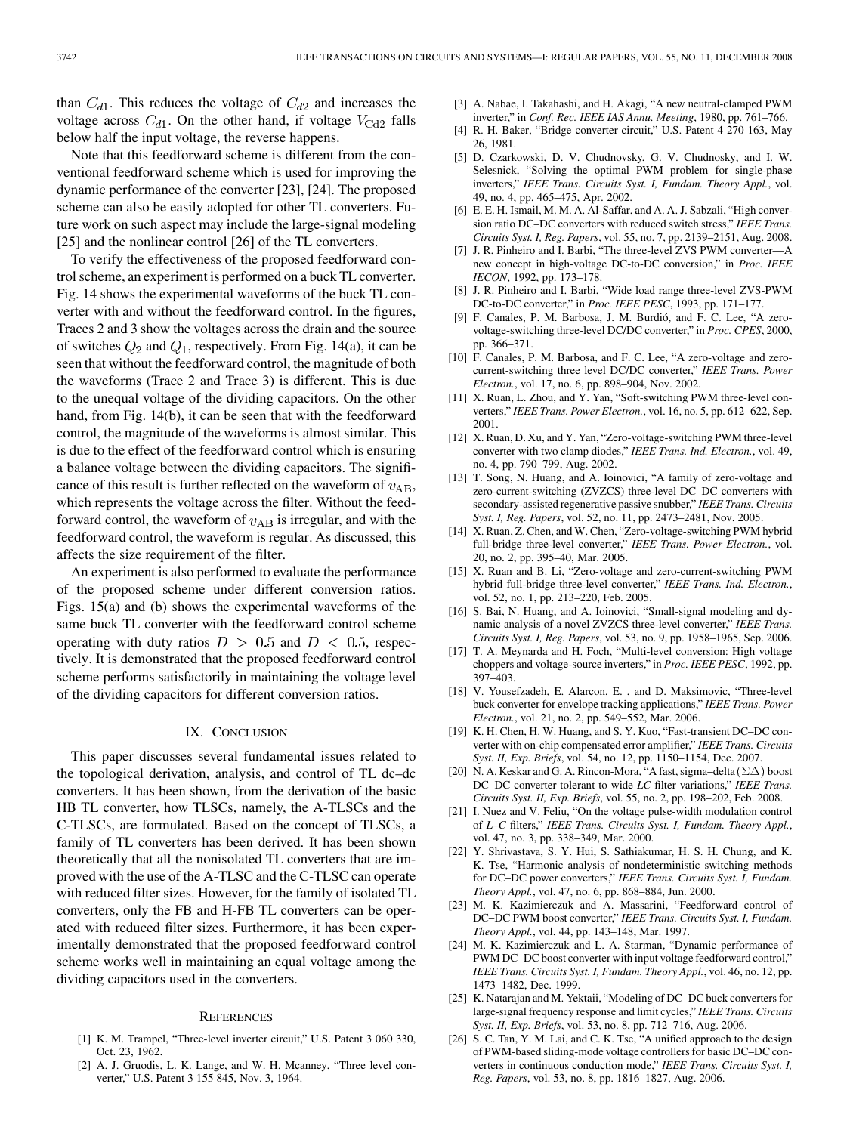than  $C_{d1}$ . This reduces the voltage of  $C_{d2}$  and increases the voltage across  $C_{d1}$ . On the other hand, if voltage  $V_{\text{Cd2}}$  falls below half the input voltage, the reverse happens.

Note that this feedforward scheme is different from the conventional feedforward scheme which is used for improving the dynamic performance of the converter [23], [24]. The proposed scheme can also be easily adopted for other TL converters. Future work on such aspect may include the large-signal modeling [25] and the nonlinear control [26] of the TL converters.

To verify the effectiveness of the proposed feedforward control scheme, an experiment is performed on a buck TL converter. Fig. 14 shows the experimental waveforms of the buck TL converter with and without the feedforward control. In the figures, Traces 2 and 3 show the voltages across the drain and the source of switches  $Q_2$  and  $Q_1$ , respectively. From Fig. 14(a), it can be seen that without the feedforward control, the magnitude of both the waveforms (Trace 2 and Trace 3) is different. This is due to the unequal voltage of the dividing capacitors. On the other hand, from Fig. 14(b), it can be seen that with the feedforward control, the magnitude of the waveforms is almost similar. This is due to the effect of the feedforward control which is ensuring a balance voltage between the dividing capacitors. The significance of this result is further reflected on the waveform of  $v_{AB}$ , which represents the voltage across the filter. Without the feedforward control, the waveform of  $v_{AB}$  is irregular, and with the feedforward control, the waveform is regular. As discussed, this affects the size requirement of the filter.

An experiment is also performed to evaluate the performance of the proposed scheme under different conversion ratios. Figs. 15(a) and (b) shows the experimental waveforms of the same buck TL converter with the feedforward control scheme operating with duty ratios  $D > 0.5$  and  $D < 0.5$ , respectively. It is demonstrated that the proposed feedforward control scheme performs satisfactorily in maintaining the voltage level of the dividing capacitors for different conversion ratios.

## IX. CONCLUSION

This paper discusses several fundamental issues related to the topological derivation, analysis, and control of TL dc–dc converters. It has been shown, from the derivation of the basic HB TL converter, how TLSCs, namely, the A-TLSCs and the C-TLSCs, are formulated. Based on the concept of TLSCs, a family of TL converters has been derived. It has been shown theoretically that all the nonisolated TL converters that are improved with the use of the A-TLSC and the C-TLSC can operate with reduced filter sizes. However, for the family of isolated TL converters, only the FB and H-FB TL converters can be operated with reduced filter sizes. Furthermore, it has been experimentally demonstrated that the proposed feedforward control scheme works well in maintaining an equal voltage among the dividing capacitors used in the converters.

#### **REFERENCES**

- [1] K. M. Trampel, "Three-level inverter circuit," U.S. Patent 3 060 330, Oct. 23, 1962.
- [2] A. J. Gruodis, L. K. Lange, and W. H. Mcanney, "Three level converter," U.S. Patent 3 155 845, Nov. 3, 1964.
- [3] A. Nabae, I. Takahashi, and H. Akagi, "A new neutral-clamped PWM inverter," in *Conf. Rec. IEEE IAS Annu. Meeting*, 1980, pp. 761–766.
- [4] R. H. Baker, "Bridge converter circuit," U.S. Patent 4 270 163, May 26, 1981.
- [5] D. Czarkowski, D. V. Chudnovsky, G. V. Chudnosky, and I. W. Selesnick, "Solving the optimal PWM problem for single-phase inverters," *IEEE Trans. Circuits Syst. I, Fundam. Theory Appl.*, vol. 49, no. 4, pp. 465–475, Apr. 2002.
- [6] E. E. H. Ismail, M. M. A. Al-Saffar, and A. A. J. Sabzali, "High conversion ratio DC–DC converters with reduced switch stress," *IEEE Trans. Circuits Syst. I, Reg. Papers*, vol. 55, no. 7, pp. 2139–2151, Aug. 2008.
- [7] J. R. Pinheiro and I. Barbi, "The three-level ZVS PWM converter—A new concept in high-voltage DC-to-DC conversion," in *Proc. IEEE IECON*, 1992, pp. 173–178.
- [8] J. R. Pinheiro and I. Barbi, "Wide load range three-level ZVS-PWM DC-to-DC converter," in *Proc. IEEE PESC*, 1993, pp. 171–177.
- [9] F. Canales, P. M. Barbosa, J. M. Burdió, and F. C. Lee, "A zerovoltage-switching three-level DC/DC converter," in *Proc. CPES*, 2000, pp. 366–371.
- [10] F. Canales, P. M. Barbosa, and F. C. Lee, "A zero-voltage and zerocurrent-switching three level DC/DC converter," *IEEE Trans. Power Electron.*, vol. 17, no. 6, pp. 898–904, Nov. 2002.
- [11] X. Ruan, L. Zhou, and Y. Yan, "Soft-switching PWM three-level converters," *IEEE Trans. Power Electron.*, vol. 16, no. 5, pp. 612–622, Sep. 2001.
- [12] X. Ruan, D. Xu, and Y. Yan, "Zero-voltage-switching PWM three-level converter with two clamp diodes," *IEEE Trans. Ind. Electron.*, vol. 49, no. 4, pp. 790–799, Aug. 2002.
- [13] T. Song, N. Huang, and A. Ioinovici, "A family of zero-voltage and zero-current-switching (ZVZCS) three-level DC–DC converters with secondary-assisted regenerative passive snubber," *IEEE Trans. Circuits Syst. I, Reg. Papers*, vol. 52, no. 11, pp. 2473–2481, Nov. 2005.
- [14] X. Ruan, Z. Chen, and W. Chen, "Zero-voltage-switching PWM hybrid full-bridge three-level converter," *IEEE Trans. Power Electron.*, vol. 20, no. 2, pp. 395–40, Mar. 2005.
- [15] X. Ruan and B. Li, "Zero-voltage and zero-current-switching PWM hybrid full-bridge three-level converter," *IEEE Trans. Ind. Electron.*, vol. 52, no. 1, pp. 213–220, Feb. 2005.
- [16] S. Bai, N. Huang, and A. Ioinovici, "Small-signal modeling and dynamic analysis of a novel ZVZCS three-level converter," *IEEE Trans. Circuits Syst. I, Reg. Papers*, vol. 53, no. 9, pp. 1958–1965, Sep. 2006.
- [17] T. A. Meynarda and H. Foch, "Multi-level conversion: High voltage choppers and voltage-source inverters," in *Proc. IEEE PESC*, 1992, pp. 397–403.
- [18] V. Yousefzadeh, E. Alarcon, E., and D. Maksimovic, "Three-level buck converter for envelope tracking applications," *IEEE Trans. Power Electron.*, vol. 21, no. 2, pp. 549–552, Mar. 2006.
- [19] K. H. Chen, H. W. Huang, and S. Y. Kuo, "Fast-transient DC–DC converter with on-chip compensated error amplifier," *IEEE Trans. Circuits Syst. II, Exp. Briefs*, vol. 54, no. 12, pp. 1150–1154, Dec. 2007.
- [20] N. A. Keskar and G. A. Rincon-Mora, "A fast, sigma-delta  $(\Sigma \Delta)$  boost DC–DC converter tolerant to wide *LC* filter variations," *IEEE Trans. Circuits Syst. II, Exp. Briefs*, vol. 55, no. 2, pp. 198–202, Feb. 2008.
- [21] I. Nuez and V. Feliu, "On the voltage pulse-width modulation control of *L–C* filters," *IEEE Trans. Circuits Syst. I, Fundam. Theory Appl.*, vol. 47, no. 3, pp. 338–349, Mar. 2000.
- [22] Y. Shrivastava, S. Y. Hui, S. Sathiakumar, H. S. H. Chung, and K. K. Tse, "Harmonic analysis of nondeterministic switching methods for DC–DC power converters," *IEEE Trans. Circuits Syst. I, Fundam. Theory Appl.*, vol. 47, no. 6, pp. 868–884, Jun. 2000.
- [23] M. K. Kazimierczuk and A. Massarini, "Feedforward control of DC–DC PWM boost converter," *IEEE Trans. Circuits Syst. I, Fundam. Theory Appl.*, vol. 44, pp. 143–148, Mar. 1997.
- [24] M. K. Kazimierczuk and L. A. Starman, "Dynamic performance of PWM DC–DC boost converter with input voltage feedforward control," *IEEE Trans. Circuits Syst. I, Fundam. Theory Appl.*, vol. 46, no. 12, pp. 1473–1482, Dec. 1999.
- [25] K. Natarajan and M. Yektaii, "Modeling of DC–DC buck converters for large-signal frequency response and limit cycles," *IEEE Trans. Circuits Syst. II, Exp. Briefs*, vol. 53, no. 8, pp. 712–716, Aug. 2006.
- [26] S. C. Tan, Y. M. Lai, and C. K. Tse, "A unified approach to the design of PWM-based sliding-mode voltage controllers for basic DC–DC converters in continuous conduction mode," *IEEE Trans. Circuits Syst. I, Reg. Papers*, vol. 53, no. 8, pp. 1816–1827, Aug. 2006.